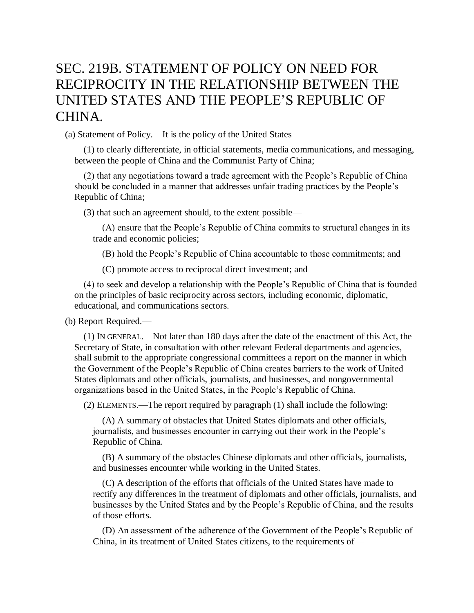## SEC. 219B. STATEMENT OF POLICY ON NEED FOR RECIPROCITY IN THE RELATIONSHIP BETWEEN THE UNITED STATES AND THE PEOPLE'S REPUBLIC OF CHINA.

(a) Statement of Policy.—It is the policy of the United States—

(1) to clearly differentiate, in official statements, media communications, and messaging, between the people of China and the Communist Party of China;

(2) that any negotiations toward a trade agreement with the People's Republic of China should be concluded in a manner that addresses unfair trading practices by the People's Republic of China;

(3) that such an agreement should, to the extent possible—

(A) ensure that the People's Republic of China commits to structural changes in its trade and economic policies;

(B) hold the People's Republic of China accountable to those commitments; and

(C) promote access to reciprocal direct investment; and

(4) to seek and develop a relationship with the People's Republic of China that is founded on the principles of basic reciprocity across sectors, including economic, diplomatic, educational, and communications sectors.

(b) Report Required.—

(1) IN GENERAL.—Not later than 180 days after the date of the enactment of this Act, the Secretary of State, in consultation with other relevant Federal departments and agencies, shall submit to the appropriate congressional committees a report on the manner in which the Government of the People's Republic of China creates barriers to the work of United States diplomats and other officials, journalists, and businesses, and nongovernmental organizations based in the United States, in the People's Republic of China.

(2) ELEMENTS.—The report required by paragraph (1) shall include the following:

(A) A summary of obstacles that United States diplomats and other officials, journalists, and businesses encounter in carrying out their work in the People's Republic of China.

(B) A summary of the obstacles Chinese diplomats and other officials, journalists, and businesses encounter while working in the United States.

(C) A description of the efforts that officials of the United States have made to rectify any differences in the treatment of diplomats and other officials, journalists, and businesses by the United States and by the People's Republic of China, and the results of those efforts.

(D) An assessment of the adherence of the Government of the People's Republic of China, in its treatment of United States citizens, to the requirements of—